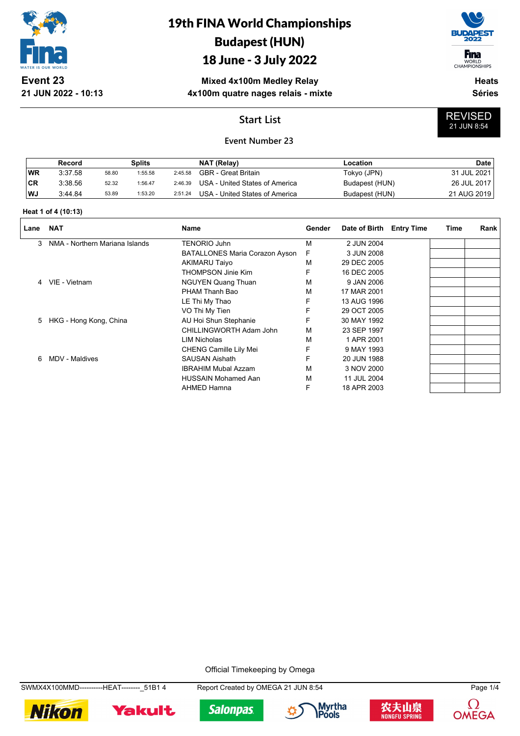

## 19th FINA World Championships Budapest (HUN)

### 18 June - 3 July 2022

**Mixed 4x100m Medley Relay 4x100m quatre nages relais - mixte**



WORLD<br>CHAMPIONSHIPS

REVISED 21 JUN 8:54

**Heats Séries**

### **Start List**

#### **Event Number 23**

|           | Record  |       | Splits  |         | NAT (Relay)                    | Location       | <b>Date</b> |
|-----------|---------|-------|---------|---------|--------------------------------|----------------|-------------|
| WR        | 3:37.58 | 58.80 | 1:55.58 | 2:45.58 | <b>GBR</b> - Great Britain     | Tokyo (JPN)    | 31 JUL 2021 |
| <b>CR</b> | 3:38.56 | 52.32 | 1:56.47 | 2:46.39 | USA - United States of America | Budapest (HUN) | 26 JUL 2017 |
| WJ        | 3.44.84 | 53.89 | 1:53.20 | 2:51.24 | USA - United States of America | Budapest (HUN) | 21 AUG 2019 |

#### **Heat 1 of 4 (10:13)**

| Lane | <b>NAT</b>                     | <b>Name</b>                           | Gender | Date of Birth | <b>Entry Time</b> | Time | Rank |
|------|--------------------------------|---------------------------------------|--------|---------------|-------------------|------|------|
| 3    | NMA - Northern Mariana Islands | <b>TENORIO Juhn</b>                   | M      | 2 JUN 2004    |                   |      |      |
|      |                                | <b>BATALLONES Maria Corazon Ayson</b> | F      | 3 JUN 2008    |                   |      |      |
|      |                                | <b>AKIMARU Taiyo</b>                  | м      | 29 DEC 2005   |                   |      |      |
|      |                                | <b>THOMPSON Jinie Kim</b>             | F      | 16 DEC 2005   |                   |      |      |
| 4    | VIE - Vietnam                  | <b>NGUYEN Quang Thuan</b>             | M      | 9 JAN 2006    |                   |      |      |
|      |                                | PHAM Thanh Bao                        | M      | 17 MAR 2001   |                   |      |      |
|      |                                | LE Thi My Thao                        | F      | 13 AUG 1996   |                   |      |      |
|      |                                | VO Thi My Tien                        | F      | 29 OCT 2005   |                   |      |      |
| 5.   | HKG - Hong Kong, China         | AU Hoi Shun Stephanie                 | F      | 30 MAY 1992   |                   |      |      |
|      |                                | CHILLINGWORTH Adam John               | м      | 23 SEP 1997   |                   |      |      |
|      |                                | <b>LIM Nicholas</b>                   | м      | 1 APR 2001    |                   |      |      |
|      |                                | <b>CHENG Camille Lily Mei</b>         | F      | 9 MAY 1993    |                   |      |      |
| 6    | MDV - Maldives                 | <b>SAUSAN Aishath</b>                 | F      | 20 JUN 1988   |                   |      |      |
|      |                                | <b>IBRAHIM Mubal Azzam</b>            | M      | 3 NOV 2000    |                   |      |      |
|      |                                | <b>HUSSAIN Mohamed Aan</b>            | м      | 11 JUL 2004   |                   |      |      |
|      |                                | AHMED Hamna                           | F      | 18 APR 2003   |                   |      |      |

Official Timekeeping by Omega

SWMX4X100MMD----------HEAT--------\_51B1 4 Report Created by OMEGA 21 JUN 8:54 Page 1/4











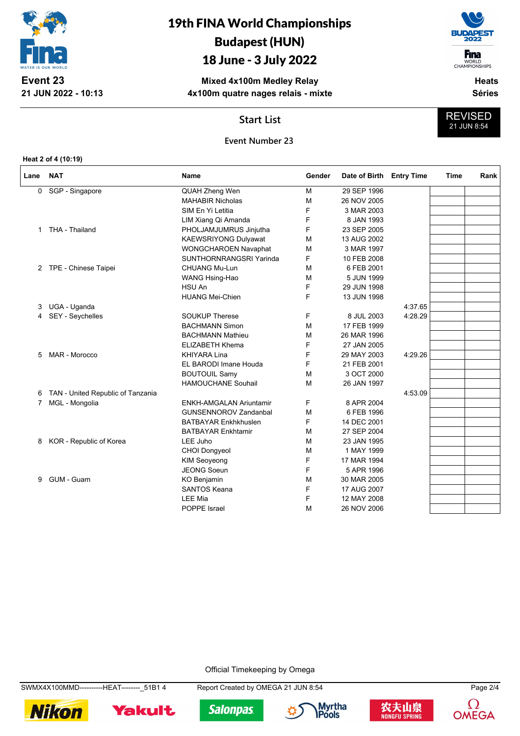

## 19th FINA World Championships Budapest (HUN)

## 18 June - 3 July 2022

**Mixed 4x100m Medley Relay 4x100m quatre nages relais - mixte**



WORLD<br>CHAMPIONSHIPS **Heats**

REVISED 21 JUN 8:54

**Séries**

**Start List**



**Heat 2 of 4 (10:19)**

| Lane | <b>NAT</b>                        | <b>Name</b>                    | Gender | Date of Birth | <b>Entry Time</b> | Time | Rank |
|------|-----------------------------------|--------------------------------|--------|---------------|-------------------|------|------|
| 0    | SGP - Singapore                   | QUAH Zheng Wen                 | M      | 29 SEP 1996   |                   |      |      |
|      |                                   | <b>MAHABIR Nicholas</b>        | M      | 26 NOV 2005   |                   |      |      |
|      |                                   | SIM En Yi Letitia              | F      | 3 MAR 2003    |                   |      |      |
|      |                                   | LIM Xiang Qi Amanda            | F      | 8 JAN 1993    |                   |      |      |
| 1    | THA - Thailand                    | PHOLJAMJUMRUS Jinjutha         | F      | 23 SEP 2005   |                   |      |      |
|      |                                   | <b>KAEWSRIYONG Dulyawat</b>    | M      | 13 AUG 2002   |                   |      |      |
|      |                                   | WONGCHAROEN Navaphat           | M      | 3 MAR 1997    |                   |      |      |
|      |                                   | SUNTHORNRANGSRI Yarinda        | F      | 10 FEB 2008   |                   |      |      |
| 2    | TPE - Chinese Taipei              | <b>CHUANG Mu-Lun</b>           | M      | 6 FEB 2001    |                   |      |      |
|      |                                   | WANG Hsing-Hao                 | M      | 5 JUN 1999    |                   |      |      |
|      |                                   | HSU An                         | F      | 29 JUN 1998   |                   |      |      |
|      |                                   | <b>HUANG Mei-Chien</b>         | F      | 13 JUN 1998   |                   |      |      |
| 3    | UGA - Uganda                      |                                |        |               | 4:37.65           |      |      |
| 4    | SEY - Seychelles                  | <b>SOUKUP Therese</b>          | F      | 8 JUL 2003    | 4:28.29           |      |      |
|      |                                   | <b>BACHMANN Simon</b>          | M      | 17 FEB 1999   |                   |      |      |
|      |                                   | <b>BACHMANN Mathieu</b>        | M      | 26 MAR 1996   |                   |      |      |
|      |                                   | <b>ELIZABETH Khema</b>         | F      | 27 JAN 2005   |                   |      |      |
| 5    | MAR - Morocco                     | <b>KHIYARA Lina</b>            | F      | 29 MAY 2003   | 4:29.26           |      |      |
|      |                                   | EL BARODI Imane Houda          | F      | 21 FEB 2001   |                   |      |      |
|      |                                   | <b>BOUTOUIL Samy</b>           | M      | 3 OCT 2000    |                   |      |      |
|      |                                   | <b>HAMOUCHANE Souhail</b>      | M      | 26 JAN 1997   |                   |      |      |
| 6    | TAN - United Republic of Tanzania |                                |        |               | 4:53.09           |      |      |
| 7    | MGL - Mongolia                    | <b>ENKH-AMGALAN Ariuntamir</b> | F      | 8 APR 2004    |                   |      |      |
|      |                                   | <b>GUNSENNOROV Zandanbal</b>   | M      | 6 FEB 1996    |                   |      |      |
|      |                                   | <b>BATBAYAR Enkhkhuslen</b>    | F      | 14 DEC 2001   |                   |      |      |
|      |                                   | <b>BATBAYAR Enkhtamir</b>      | м      | 27 SEP 2004   |                   |      |      |
| 8    | KOR - Republic of Korea           | LEE Juho                       | м      | 23 JAN 1995   |                   |      |      |
|      |                                   | <b>CHOI Dongyeol</b>           | M      | 1 MAY 1999    |                   |      |      |
|      |                                   | KIM Seoyeong                   | F      | 17 MAR 1994   |                   |      |      |
|      |                                   | <b>JEONG Soeun</b>             | F      | 5 APR 1996    |                   |      |      |
| 9    | GUM - Guam                        | <b>KO Benjamin</b>             | M      | 30 MAR 2005   |                   |      |      |
|      |                                   | <b>SANTOS Keana</b>            | F      | 17 AUG 2007   |                   |      |      |
|      |                                   | <b>LEE Mia</b>                 | F      | 12 MAY 2008   |                   |      |      |
|      |                                   | POPPE Israel                   | M      | 26 NOV 2006   |                   |      |      |
|      |                                   |                                |        |               |                   |      |      |

Official Timekeeping by Omega

SWMX4X100MMD----------HEAT--------\_51B1 4 Report Created by OMEGA 21 JUN 8:54 Page 2/4











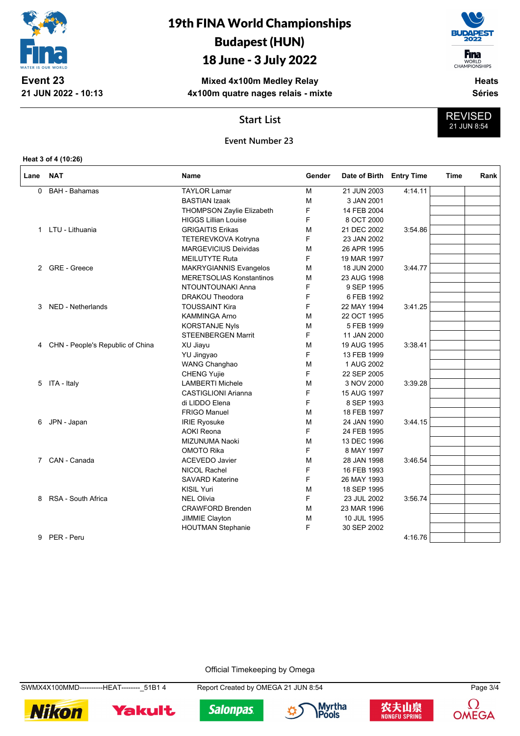

# 19th FINA World Championships Budapest (HUN)

### 18 June - 3 July 2022

**Mixed 4x100m Medley Relay 4x100m quatre nages relais - mixte**



WORLD<br>CHAMPIONSHIPS **Heats**

REVISED 21 JUN 8:54

**Séries**

### **Start List**

#### **Event Number 23**

**Heat 3 of 4 (10:26)**

| <b>TAYLOR Lamar</b><br>M<br><b>BAH - Bahamas</b><br>21 JUN 2003<br>4:14:11<br>0<br><b>BASTIAN Izaak</b><br>м<br>3 JAN 2001<br>F<br>14 FEB 2004<br><b>THOMPSON Zaylie Elizabeth</b><br>F<br><b>HIGGS Lillian Louise</b><br>8 OCT 2000<br>1 LTU - Lithuania<br><b>GRIGAITIS Erikas</b><br>21 DEC 2002<br>3:54.86<br>M<br>F<br>TETEREVKOVA Kotryna<br>23 JAN 2002<br><b>MARGEVICIUS Deividas</b><br>26 APR 1995<br>M<br>F<br><b>MEILUTYTE Ruta</b><br>19 MAR 1997<br>2 GRE - Greece<br><b>MAKRYGIANNIS Evangelos</b><br>18 JUN 2000<br>м<br>3:44.77<br><b>MERETSOLIAS Konstantinos</b><br>м<br>23 AUG 1998<br>F<br>NTOUNTOUNAKI Anna<br>9 SEP 1995<br>F<br>DRAKOU Theodora<br>6 FEB 1992<br>F<br><b>TOUSSAINT Kira</b><br>3:41.25<br>NED - Netherlands<br>22 MAY 1994<br>3<br>22 OCT 1995<br><b>KAMMINGA Arno</b><br>M<br><b>KORSTANJE Nyls</b><br>5 FEB 1999<br>М<br>F<br><b>STEENBERGEN Marrit</b><br>11 JAN 2000<br>CHN - People's Republic of China<br>XU Jiayu<br>19 AUG 1995<br>3:38.41<br>M<br>4<br>F<br>13 FEB 1999<br>YU Jingyao<br><b>WANG Changhao</b><br>1 AUG 2002<br>M<br>F<br><b>CHENG Yujie</b><br>22 SEP 2005<br>ITA - Italy<br><b>LAMBERTI Michele</b><br>M<br>3 NOV 2000<br>3:39.28<br>5<br>F<br>CASTIGLIONI Arianna<br>15 AUG 1997<br>F<br>di LIDDO Elena<br>8 SEP 1993<br><b>FRIGO Manuel</b><br>18 FEB 1997<br>м<br>JPN - Japan<br><b>IRIE Ryosuke</b><br>24 JAN 1990<br>3:44.15<br>6<br>М<br>F<br><b>AOKI Reona</b><br>24 FEB 1995<br><b>MIZUNUMA Naoki</b><br>M<br>13 DEC 1996<br>F<br>OMOTO Rika<br>8 MAY 1997<br>7 CAN - Canada<br><b>ACEVEDO Javier</b><br>M<br>28 JAN 1998<br>3:46.54<br>F<br><b>NICOL Rachel</b><br>16 FEB 1993<br>F<br><b>SAVARD Katerine</b><br>26 MAY 1993<br><b>KISIL Yuri</b><br>M<br>18 SEP 1995 | Lane | <b>NAT</b>         | Name              | Gender | Date of Birth Entry Time |         | Time | Rank |
|--------------------------------------------------------------------------------------------------------------------------------------------------------------------------------------------------------------------------------------------------------------------------------------------------------------------------------------------------------------------------------------------------------------------------------------------------------------------------------------------------------------------------------------------------------------------------------------------------------------------------------------------------------------------------------------------------------------------------------------------------------------------------------------------------------------------------------------------------------------------------------------------------------------------------------------------------------------------------------------------------------------------------------------------------------------------------------------------------------------------------------------------------------------------------------------------------------------------------------------------------------------------------------------------------------------------------------------------------------------------------------------------------------------------------------------------------------------------------------------------------------------------------------------------------------------------------------------------------------------------------------------------------------------------------------------------------------------------------------------------------|------|--------------------|-------------------|--------|--------------------------|---------|------|------|
|                                                                                                                                                                                                                                                                                                                                                                                                                                                                                                                                                                                                                                                                                                                                                                                                                                                                                                                                                                                                                                                                                                                                                                                                                                                                                                                                                                                                                                                                                                                                                                                                                                                                                                                                                  |      |                    |                   |        |                          |         |      |      |
|                                                                                                                                                                                                                                                                                                                                                                                                                                                                                                                                                                                                                                                                                                                                                                                                                                                                                                                                                                                                                                                                                                                                                                                                                                                                                                                                                                                                                                                                                                                                                                                                                                                                                                                                                  |      |                    |                   |        |                          |         |      |      |
|                                                                                                                                                                                                                                                                                                                                                                                                                                                                                                                                                                                                                                                                                                                                                                                                                                                                                                                                                                                                                                                                                                                                                                                                                                                                                                                                                                                                                                                                                                                                                                                                                                                                                                                                                  |      |                    |                   |        |                          |         |      |      |
|                                                                                                                                                                                                                                                                                                                                                                                                                                                                                                                                                                                                                                                                                                                                                                                                                                                                                                                                                                                                                                                                                                                                                                                                                                                                                                                                                                                                                                                                                                                                                                                                                                                                                                                                                  |      |                    |                   |        |                          |         |      |      |
|                                                                                                                                                                                                                                                                                                                                                                                                                                                                                                                                                                                                                                                                                                                                                                                                                                                                                                                                                                                                                                                                                                                                                                                                                                                                                                                                                                                                                                                                                                                                                                                                                                                                                                                                                  |      |                    |                   |        |                          |         |      |      |
|                                                                                                                                                                                                                                                                                                                                                                                                                                                                                                                                                                                                                                                                                                                                                                                                                                                                                                                                                                                                                                                                                                                                                                                                                                                                                                                                                                                                                                                                                                                                                                                                                                                                                                                                                  |      |                    |                   |        |                          |         |      |      |
|                                                                                                                                                                                                                                                                                                                                                                                                                                                                                                                                                                                                                                                                                                                                                                                                                                                                                                                                                                                                                                                                                                                                                                                                                                                                                                                                                                                                                                                                                                                                                                                                                                                                                                                                                  |      |                    |                   |        |                          |         |      |      |
|                                                                                                                                                                                                                                                                                                                                                                                                                                                                                                                                                                                                                                                                                                                                                                                                                                                                                                                                                                                                                                                                                                                                                                                                                                                                                                                                                                                                                                                                                                                                                                                                                                                                                                                                                  |      |                    |                   |        |                          |         |      |      |
|                                                                                                                                                                                                                                                                                                                                                                                                                                                                                                                                                                                                                                                                                                                                                                                                                                                                                                                                                                                                                                                                                                                                                                                                                                                                                                                                                                                                                                                                                                                                                                                                                                                                                                                                                  |      |                    |                   |        |                          |         |      |      |
|                                                                                                                                                                                                                                                                                                                                                                                                                                                                                                                                                                                                                                                                                                                                                                                                                                                                                                                                                                                                                                                                                                                                                                                                                                                                                                                                                                                                                                                                                                                                                                                                                                                                                                                                                  |      |                    |                   |        |                          |         |      |      |
|                                                                                                                                                                                                                                                                                                                                                                                                                                                                                                                                                                                                                                                                                                                                                                                                                                                                                                                                                                                                                                                                                                                                                                                                                                                                                                                                                                                                                                                                                                                                                                                                                                                                                                                                                  |      |                    |                   |        |                          |         |      |      |
|                                                                                                                                                                                                                                                                                                                                                                                                                                                                                                                                                                                                                                                                                                                                                                                                                                                                                                                                                                                                                                                                                                                                                                                                                                                                                                                                                                                                                                                                                                                                                                                                                                                                                                                                                  |      |                    |                   |        |                          |         |      |      |
|                                                                                                                                                                                                                                                                                                                                                                                                                                                                                                                                                                                                                                                                                                                                                                                                                                                                                                                                                                                                                                                                                                                                                                                                                                                                                                                                                                                                                                                                                                                                                                                                                                                                                                                                                  |      |                    |                   |        |                          |         |      |      |
|                                                                                                                                                                                                                                                                                                                                                                                                                                                                                                                                                                                                                                                                                                                                                                                                                                                                                                                                                                                                                                                                                                                                                                                                                                                                                                                                                                                                                                                                                                                                                                                                                                                                                                                                                  |      |                    |                   |        |                          |         |      |      |
|                                                                                                                                                                                                                                                                                                                                                                                                                                                                                                                                                                                                                                                                                                                                                                                                                                                                                                                                                                                                                                                                                                                                                                                                                                                                                                                                                                                                                                                                                                                                                                                                                                                                                                                                                  |      |                    |                   |        |                          |         |      |      |
|                                                                                                                                                                                                                                                                                                                                                                                                                                                                                                                                                                                                                                                                                                                                                                                                                                                                                                                                                                                                                                                                                                                                                                                                                                                                                                                                                                                                                                                                                                                                                                                                                                                                                                                                                  |      |                    |                   |        |                          |         |      |      |
|                                                                                                                                                                                                                                                                                                                                                                                                                                                                                                                                                                                                                                                                                                                                                                                                                                                                                                                                                                                                                                                                                                                                                                                                                                                                                                                                                                                                                                                                                                                                                                                                                                                                                                                                                  |      |                    |                   |        |                          |         |      |      |
|                                                                                                                                                                                                                                                                                                                                                                                                                                                                                                                                                                                                                                                                                                                                                                                                                                                                                                                                                                                                                                                                                                                                                                                                                                                                                                                                                                                                                                                                                                                                                                                                                                                                                                                                                  |      |                    |                   |        |                          |         |      |      |
|                                                                                                                                                                                                                                                                                                                                                                                                                                                                                                                                                                                                                                                                                                                                                                                                                                                                                                                                                                                                                                                                                                                                                                                                                                                                                                                                                                                                                                                                                                                                                                                                                                                                                                                                                  |      |                    |                   |        |                          |         |      |      |
|                                                                                                                                                                                                                                                                                                                                                                                                                                                                                                                                                                                                                                                                                                                                                                                                                                                                                                                                                                                                                                                                                                                                                                                                                                                                                                                                                                                                                                                                                                                                                                                                                                                                                                                                                  |      |                    |                   |        |                          |         |      |      |
|                                                                                                                                                                                                                                                                                                                                                                                                                                                                                                                                                                                                                                                                                                                                                                                                                                                                                                                                                                                                                                                                                                                                                                                                                                                                                                                                                                                                                                                                                                                                                                                                                                                                                                                                                  |      |                    |                   |        |                          |         |      |      |
|                                                                                                                                                                                                                                                                                                                                                                                                                                                                                                                                                                                                                                                                                                                                                                                                                                                                                                                                                                                                                                                                                                                                                                                                                                                                                                                                                                                                                                                                                                                                                                                                                                                                                                                                                  |      |                    |                   |        |                          |         |      |      |
|                                                                                                                                                                                                                                                                                                                                                                                                                                                                                                                                                                                                                                                                                                                                                                                                                                                                                                                                                                                                                                                                                                                                                                                                                                                                                                                                                                                                                                                                                                                                                                                                                                                                                                                                                  |      |                    |                   |        |                          |         |      |      |
|                                                                                                                                                                                                                                                                                                                                                                                                                                                                                                                                                                                                                                                                                                                                                                                                                                                                                                                                                                                                                                                                                                                                                                                                                                                                                                                                                                                                                                                                                                                                                                                                                                                                                                                                                  |      |                    |                   |        |                          |         |      |      |
|                                                                                                                                                                                                                                                                                                                                                                                                                                                                                                                                                                                                                                                                                                                                                                                                                                                                                                                                                                                                                                                                                                                                                                                                                                                                                                                                                                                                                                                                                                                                                                                                                                                                                                                                                  |      |                    |                   |        |                          |         |      |      |
|                                                                                                                                                                                                                                                                                                                                                                                                                                                                                                                                                                                                                                                                                                                                                                                                                                                                                                                                                                                                                                                                                                                                                                                                                                                                                                                                                                                                                                                                                                                                                                                                                                                                                                                                                  |      |                    |                   |        |                          |         |      |      |
|                                                                                                                                                                                                                                                                                                                                                                                                                                                                                                                                                                                                                                                                                                                                                                                                                                                                                                                                                                                                                                                                                                                                                                                                                                                                                                                                                                                                                                                                                                                                                                                                                                                                                                                                                  |      |                    |                   |        |                          |         |      |      |
|                                                                                                                                                                                                                                                                                                                                                                                                                                                                                                                                                                                                                                                                                                                                                                                                                                                                                                                                                                                                                                                                                                                                                                                                                                                                                                                                                                                                                                                                                                                                                                                                                                                                                                                                                  |      |                    |                   |        |                          |         |      |      |
|                                                                                                                                                                                                                                                                                                                                                                                                                                                                                                                                                                                                                                                                                                                                                                                                                                                                                                                                                                                                                                                                                                                                                                                                                                                                                                                                                                                                                                                                                                                                                                                                                                                                                                                                                  |      |                    |                   |        |                          |         |      |      |
|                                                                                                                                                                                                                                                                                                                                                                                                                                                                                                                                                                                                                                                                                                                                                                                                                                                                                                                                                                                                                                                                                                                                                                                                                                                                                                                                                                                                                                                                                                                                                                                                                                                                                                                                                  |      |                    |                   |        |                          |         |      |      |
|                                                                                                                                                                                                                                                                                                                                                                                                                                                                                                                                                                                                                                                                                                                                                                                                                                                                                                                                                                                                                                                                                                                                                                                                                                                                                                                                                                                                                                                                                                                                                                                                                                                                                                                                                  |      |                    |                   |        |                          |         |      |      |
|                                                                                                                                                                                                                                                                                                                                                                                                                                                                                                                                                                                                                                                                                                                                                                                                                                                                                                                                                                                                                                                                                                                                                                                                                                                                                                                                                                                                                                                                                                                                                                                                                                                                                                                                                  |      |                    |                   |        |                          |         |      |      |
|                                                                                                                                                                                                                                                                                                                                                                                                                                                                                                                                                                                                                                                                                                                                                                                                                                                                                                                                                                                                                                                                                                                                                                                                                                                                                                                                                                                                                                                                                                                                                                                                                                                                                                                                                  | 8    | RSA - South Africa | <b>NEL Olivia</b> | F      | 23 JUL 2002              | 3:56.74 |      |      |
| <b>CRAWFORD Brenden</b><br>M<br>23 MAR 1996                                                                                                                                                                                                                                                                                                                                                                                                                                                                                                                                                                                                                                                                                                                                                                                                                                                                                                                                                                                                                                                                                                                                                                                                                                                                                                                                                                                                                                                                                                                                                                                                                                                                                                      |      |                    |                   |        |                          |         |      |      |
| JIMMIE Clayton<br>м<br>10 JUL 1995                                                                                                                                                                                                                                                                                                                                                                                                                                                                                                                                                                                                                                                                                                                                                                                                                                                                                                                                                                                                                                                                                                                                                                                                                                                                                                                                                                                                                                                                                                                                                                                                                                                                                                               |      |                    |                   |        |                          |         |      |      |
| F<br>30 SEP 2002<br><b>HOUTMAN Stephanie</b>                                                                                                                                                                                                                                                                                                                                                                                                                                                                                                                                                                                                                                                                                                                                                                                                                                                                                                                                                                                                                                                                                                                                                                                                                                                                                                                                                                                                                                                                                                                                                                                                                                                                                                     |      |                    |                   |        |                          |         |      |      |
| PER - Peru<br>4:16.76<br>9                                                                                                                                                                                                                                                                                                                                                                                                                                                                                                                                                                                                                                                                                                                                                                                                                                                                                                                                                                                                                                                                                                                                                                                                                                                                                                                                                                                                                                                                                                                                                                                                                                                                                                                       |      |                    |                   |        |                          |         |      |      |

Official Timekeeping by Omega

SWMX4X100MMD----------HEAT--------\_51B1 4 Report Created by OMEGA 21 JUN 8:54 Page 3/4